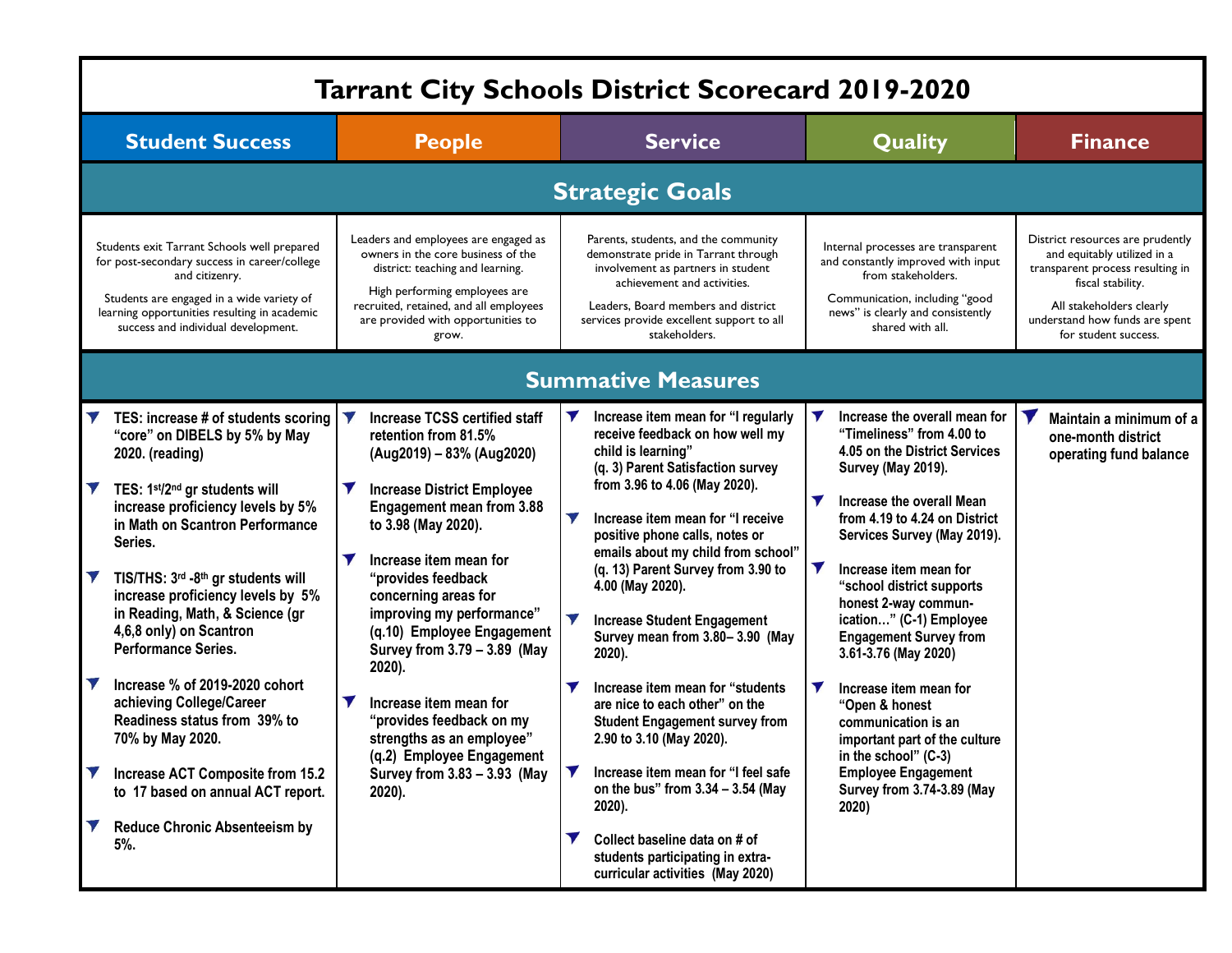|                           | <b>Tarrant City Schools District Scorecard 2019-2020</b>                                                                                                                                                                                                                                                                                                                                                                                                                                                                                                                                                                    |                                                   |                                                                                                                                                                                                                                                                                                                                                                                                                                                                                                                                  |                                                                                                   |                                                                                                                                                                                                                                                                                                                                                                                                                                                                                                                                                                                                                                                                                                                                                                          |                                                                      |                                                                                                                                                                                                                                                                                                                                                                                                                                                                                                                                                                                           |  |                                                                                                                                                                                                                |  |  |  |
|---------------------------|-----------------------------------------------------------------------------------------------------------------------------------------------------------------------------------------------------------------------------------------------------------------------------------------------------------------------------------------------------------------------------------------------------------------------------------------------------------------------------------------------------------------------------------------------------------------------------------------------------------------------------|---------------------------------------------------|----------------------------------------------------------------------------------------------------------------------------------------------------------------------------------------------------------------------------------------------------------------------------------------------------------------------------------------------------------------------------------------------------------------------------------------------------------------------------------------------------------------------------------|---------------------------------------------------------------------------------------------------|--------------------------------------------------------------------------------------------------------------------------------------------------------------------------------------------------------------------------------------------------------------------------------------------------------------------------------------------------------------------------------------------------------------------------------------------------------------------------------------------------------------------------------------------------------------------------------------------------------------------------------------------------------------------------------------------------------------------------------------------------------------------------|----------------------------------------------------------------------|-------------------------------------------------------------------------------------------------------------------------------------------------------------------------------------------------------------------------------------------------------------------------------------------------------------------------------------------------------------------------------------------------------------------------------------------------------------------------------------------------------------------------------------------------------------------------------------------|--|----------------------------------------------------------------------------------------------------------------------------------------------------------------------------------------------------------------|--|--|--|
| <b>Student Success</b>    |                                                                                                                                                                                                                                                                                                                                                                                                                                                                                                                                                                                                                             |                                                   | <b>People</b>                                                                                                                                                                                                                                                                                                                                                                                                                                                                                                                    |                                                                                                   | <b>Service</b>                                                                                                                                                                                                                                                                                                                                                                                                                                                                                                                                                                                                                                                                                                                                                           |                                                                      | Quality                                                                                                                                                                                                                                                                                                                                                                                                                                                                                                                                                                                   |  | <b>Finance</b>                                                                                                                                                                                                 |  |  |  |
|                           | <b>Strategic Goals</b>                                                                                                                                                                                                                                                                                                                                                                                                                                                                                                                                                                                                      |                                                   |                                                                                                                                                                                                                                                                                                                                                                                                                                                                                                                                  |                                                                                                   |                                                                                                                                                                                                                                                                                                                                                                                                                                                                                                                                                                                                                                                                                                                                                                          |                                                                      |                                                                                                                                                                                                                                                                                                                                                                                                                                                                                                                                                                                           |  |                                                                                                                                                                                                                |  |  |  |
|                           | Students exit Tarrant Schools well prepared<br>for post-secondary success in career/college<br>and citizenry.<br>Students are engaged in a wide variety of<br>learning opportunities resulting in academic<br>success and individual development.                                                                                                                                                                                                                                                                                                                                                                           |                                                   | Leaders and employees are engaged as<br>owners in the core business of the<br>district: teaching and learning.<br>High performing employees are<br>recruited, retained, and all employees<br>are provided with opportunities to<br>grow.                                                                                                                                                                                                                                                                                         |                                                                                                   | Parents, students, and the community<br>demonstrate pride in Tarrant through<br>involvement as partners in student<br>achievement and activities.<br>Leaders, Board members and district<br>services provide excellent support to all<br>stakeholders.                                                                                                                                                                                                                                                                                                                                                                                                                                                                                                                   |                                                                      | Internal processes are transparent<br>and constantly improved with input<br>from stakeholders.<br>Communication, including "good<br>news" is clearly and consistently<br>shared with all.                                                                                                                                                                                                                                                                                                                                                                                                 |  | District resources are prudently<br>and equitably utilized in a<br>transparent process resulting in<br>fiscal stability.<br>All stakeholders clearly<br>understand how funds are spent<br>for student success. |  |  |  |
| <b>Summative Measures</b> |                                                                                                                                                                                                                                                                                                                                                                                                                                                                                                                                                                                                                             |                                                   |                                                                                                                                                                                                                                                                                                                                                                                                                                                                                                                                  |                                                                                                   |                                                                                                                                                                                                                                                                                                                                                                                                                                                                                                                                                                                                                                                                                                                                                                          |                                                                      |                                                                                                                                                                                                                                                                                                                                                                                                                                                                                                                                                                                           |  |                                                                                                                                                                                                                |  |  |  |
| IV                        | TES: increase # of students scoring<br>"core" on DIBELS by 5% by May<br>2020. (reading)<br>TES: 1st/2nd gr students will<br>increase proficiency levels by 5%<br>in Math on Scantron Performance<br>Series.<br>TIS/THS: 3rd -8th gr students will<br>increase proficiency levels by 5%<br>in Reading, Math, & Science (gr<br>4,6,8 only) on Scantron<br><b>Performance Series.</b><br>Increase % of 2019-2020 cohort<br>achieving College/Career<br>Readiness status from 39% to<br>70% by May 2020.<br>Increase ACT Composite from 15.2<br>to 17 based on annual ACT report.<br><b>Reduce Chronic Absenteeism by</b><br>5% | V<br>$\blacktriangledown$<br>$\blacktriangledown$ | <b>Increase TCSS certified staff</b><br>retention from 81.5%<br>(Aug2019) - 83% (Aug2020)<br><b>Increase District Employee</b><br><b>Engagement mean from 3.88</b><br>to 3.98 (May 2020).<br>Increase item mean for<br>"provides feedback<br>concerning areas for<br>improving my performance"<br>(q.10) Employee Engagement<br>Survey from 3.79 - 3.89 (May<br>2020).<br>Increase item mean for<br>"provides feedback on my<br>strengths as an employee"<br>(q.2) Employee Engagement<br>Survey from 3.83 - 3.93 (May<br>2020). | $\blacktriangledown$<br>V<br>$\blacktriangledown$<br>$\blacktriangledown$<br>$\blacktriangledown$ | Increase item mean for "I regularly<br>receive feedback on how well my<br>child is learning"<br>(q. 3) Parent Satisfaction survey<br>from 3.96 to 4.06 (May 2020).<br>Increase item mean for "I receive<br>positive phone calls, notes or<br>emails about my child from school"<br>(q. 13) Parent Survey from 3.90 to<br>4.00 (May 2020).<br><b>Increase Student Engagement</b><br>Survey mean from 3.80-3.90 (May<br>2020).<br>Increase item mean for "students<br>are nice to each other" on the<br><b>Student Engagement survey from</b><br>2.90 to 3.10 (May 2020).<br>Increase item mean for "I feel safe<br>on the bus" from $3.34 - 3.54$ (May<br>2020).<br>Collect baseline data on # of<br>students participating in extra-<br>curricular activities (May 2020) | $\blacktriangledown$<br>$\blacktriangledown$<br>$\blacktriangledown$ | Increase the overall mean for<br>"Timeliness" from 4.00 to<br>4.05 on the District Services<br>Survey (May 2019).<br>Increase the overall Mean<br>from 4.19 to 4.24 on District<br>Services Survey (May 2019).<br>Increase item mean for<br>"school district supports<br>honest 2-way commun-<br>ication" (C-1) Employee<br><b>Engagement Survey from</b><br>3.61-3.76 (May 2020)<br>Increase item mean for<br>"Open & honest<br>communication is an<br>important part of the culture<br>in the school" (C-3)<br><b>Employee Engagement</b><br><b>Survey from 3.74-3.89 (May</b><br>2020) |  | Maintain a minimum of a<br>one-month district<br>operating fund balance                                                                                                                                        |  |  |  |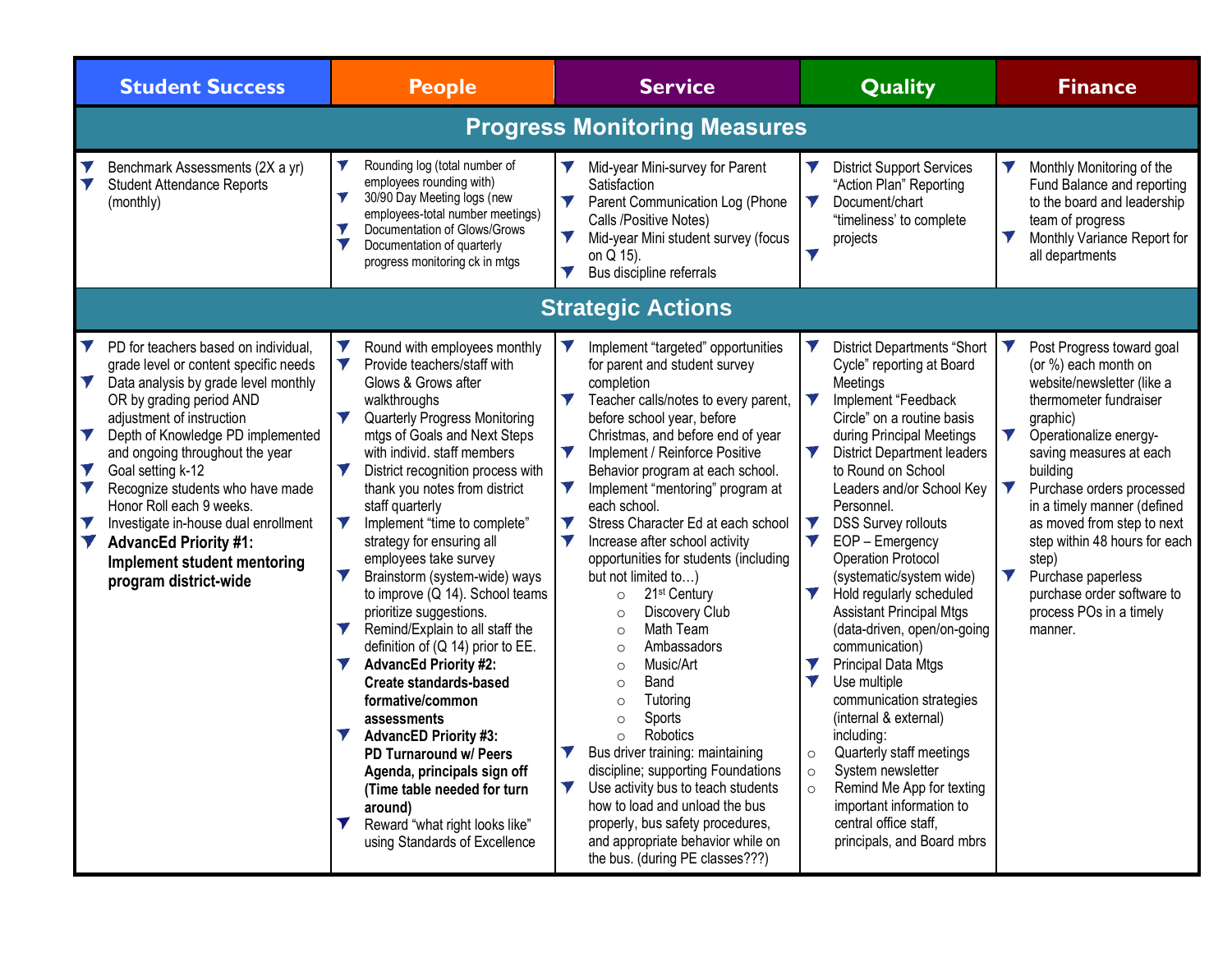| <b>Student Success</b>                                                                                                                                                                                                                                                                                                                                                                                                                                                                                                | <b>People</b>                                                                                                                                                                                                                                                                                                                                                                                                                                                                                                                                                                                                                                                                                                                                                                                                                                                                                                    | <b>Service</b>                                                                                                                                                                                                                                                                                                                                                                                                                                                                                                                                                                                                                                                                                                                                                                                                                                                                                                                                                                            | <b>Quality</b>                                                                                                                                                                                                                                                                                                                                                                                                                                                                                                                                                                                                                                                                                                                                                                                                                                     | <b>Finance</b>                                                                                                                                                                                                                                                                                                                                                                                                                                                                                    |  |  |  |  |  |  |
|-----------------------------------------------------------------------------------------------------------------------------------------------------------------------------------------------------------------------------------------------------------------------------------------------------------------------------------------------------------------------------------------------------------------------------------------------------------------------------------------------------------------------|------------------------------------------------------------------------------------------------------------------------------------------------------------------------------------------------------------------------------------------------------------------------------------------------------------------------------------------------------------------------------------------------------------------------------------------------------------------------------------------------------------------------------------------------------------------------------------------------------------------------------------------------------------------------------------------------------------------------------------------------------------------------------------------------------------------------------------------------------------------------------------------------------------------|-------------------------------------------------------------------------------------------------------------------------------------------------------------------------------------------------------------------------------------------------------------------------------------------------------------------------------------------------------------------------------------------------------------------------------------------------------------------------------------------------------------------------------------------------------------------------------------------------------------------------------------------------------------------------------------------------------------------------------------------------------------------------------------------------------------------------------------------------------------------------------------------------------------------------------------------------------------------------------------------|----------------------------------------------------------------------------------------------------------------------------------------------------------------------------------------------------------------------------------------------------------------------------------------------------------------------------------------------------------------------------------------------------------------------------------------------------------------------------------------------------------------------------------------------------------------------------------------------------------------------------------------------------------------------------------------------------------------------------------------------------------------------------------------------------------------------------------------------------|---------------------------------------------------------------------------------------------------------------------------------------------------------------------------------------------------------------------------------------------------------------------------------------------------------------------------------------------------------------------------------------------------------------------------------------------------------------------------------------------------|--|--|--|--|--|--|
| <b>Progress Monitoring Measures</b>                                                                                                                                                                                                                                                                                                                                                                                                                                                                                   |                                                                                                                                                                                                                                                                                                                                                                                                                                                                                                                                                                                                                                                                                                                                                                                                                                                                                                                  |                                                                                                                                                                                                                                                                                                                                                                                                                                                                                                                                                                                                                                                                                                                                                                                                                                                                                                                                                                                           |                                                                                                                                                                                                                                                                                                                                                                                                                                                                                                                                                                                                                                                                                                                                                                                                                                                    |                                                                                                                                                                                                                                                                                                                                                                                                                                                                                                   |  |  |  |  |  |  |
| Benchmark Assessments (2X a yr)<br><b>Student Attendance Reports</b><br>(monthly)                                                                                                                                                                                                                                                                                                                                                                                                                                     | V<br>Rounding log (total number of<br>employees rounding with)<br>$\blacktriangledown$<br>30/90 Day Meeting logs (new<br>employees-total number meetings)<br>Documentation of Glows/Grows<br>$\blacktriangledown$<br>V<br>Documentation of quarterly<br>progress monitoring ck in mtgs                                                                                                                                                                                                                                                                                                                                                                                                                                                                                                                                                                                                                           | Mid-year Mini-survey for Parent<br>Satisfaction<br>V<br>Parent Communication Log (Phone<br>Calls /Positive Notes)<br>Mid-year Mini student survey (focus<br>on Q 15).<br>V<br>Bus discipline referrals                                                                                                                                                                                                                                                                                                                                                                                                                                                                                                                                                                                                                                                                                                                                                                                    | <b>District Support Services</b><br>"Action Plan" Reporting<br>V<br>Document/chart<br>"timeliness' to complete<br>projects<br>$\blacktriangledown$                                                                                                                                                                                                                                                                                                                                                                                                                                                                                                                                                                                                                                                                                                 | Monthly Monitoring of the<br>Fund Balance and reporting<br>to the board and leadership<br>team of progress<br>$\blacktriangledown$<br>Monthly Variance Report for<br>all departments                                                                                                                                                                                                                                                                                                              |  |  |  |  |  |  |
|                                                                                                                                                                                                                                                                                                                                                                                                                                                                                                                       | <b>Strategic Actions</b>                                                                                                                                                                                                                                                                                                                                                                                                                                                                                                                                                                                                                                                                                                                                                                                                                                                                                         |                                                                                                                                                                                                                                                                                                                                                                                                                                                                                                                                                                                                                                                                                                                                                                                                                                                                                                                                                                                           |                                                                                                                                                                                                                                                                                                                                                                                                                                                                                                                                                                                                                                                                                                                                                                                                                                                    |                                                                                                                                                                                                                                                                                                                                                                                                                                                                                                   |  |  |  |  |  |  |
| V<br>PD for teachers based on individual,<br>grade level or content specific needs<br>V<br>Data analysis by grade level monthly<br>OR by grading period AND<br>adjustment of instruction<br>V<br>Depth of Knowledge PD implemented<br>and ongoing throughout the year<br>V<br>Goal setting k-12<br>V<br>Recognize students who have made<br>Honor Roll each 9 weeks.<br>V<br>Investigate in-house dual enrollment<br>Y<br><b>AdvancEd Priority #1:</b><br><b>Implement student mentoring</b><br>program district-wide | V<br>Round with employees monthly<br>Provide teachers/staff with<br>Y<br>Glows & Grows after<br>walkthroughs<br>V<br><b>Quarterly Progress Monitoring</b><br>mtgs of Goals and Next Steps<br>with individ. staff members<br>V<br>District recognition process with<br>thank you notes from district<br>staff quarterly<br>Implement "time to complete"<br>V<br>strategy for ensuring all<br>employees take survey<br>Brainstorm (system-wide) ways<br>to improve (Q 14). School teams<br>prioritize suggestions.<br>Remind/Explain to all staff the<br>definition of $(Q 14)$ prior to EE.<br>V<br><b>AdvancEd Priority #2:</b><br><b>Create standards-based</b><br>formative/common<br>assessments<br><b>AdvancED Priority #3:</b><br><b>PD Turnaround w/ Peers</b><br>Agenda, principals sign off<br>(Time table needed for turn<br>around)<br>Reward "what right looks like"<br>using Standards of Excellence | V<br>Implement "targeted" opportunities<br>for parent and student survey<br>completion<br>Teacher calls/notes to every parent,<br>before school year, before<br>Christmas, and before end of year<br>Implement / Reinforce Positive<br>V<br>Behavior program at each school.<br>V<br>Implement "mentoring" program at<br>each school.<br>V<br>Stress Character Ed at each school<br>Increase after school activity<br>opportunities for students (including<br>but not limited to)<br>21 <sup>st</sup> Century<br>$\circ$<br>Discovery Club<br>$\circ$<br>Math Team<br>$\circ$<br>Ambassadors<br>$\circ$<br>Music/Art<br>$\circ$<br>Band<br>$\circ$<br>Tutoring<br>$\circ$<br>Sports<br>$\circ$<br>Robotics<br>$\circ$<br>Bus driver training: maintaining<br>discipline; supporting Foundations<br>V<br>Use activity bus to teach students<br>how to load and unload the bus<br>properly, bus safety procedures,<br>and appropriate behavior while on<br>the bus. (during PE classes???) | V<br><b>District Departments "Short</b><br>Cycle" reporting at Board<br>Meetings<br>V<br>Implement "Feedback<br>Circle" on a routine basis<br>during Principal Meetings<br>V<br><b>District Department leaders</b><br>to Round on School<br>Leaders and/or School Key<br>Personnel.<br>V<br><b>DSS Survey rollouts</b><br>V<br>EOP - Emergency<br>Operation Protocol<br>(systematic/system wide)<br>V<br>Hold regularly scheduled<br><b>Assistant Principal Mtgs</b><br>(data-driven, open/on-going<br>communication)<br>V<br><b>Principal Data Mtgs</b><br>V<br>Use multiple<br>communication strategies<br>(internal & external)<br>including:<br>Quarterly staff meetings<br>$\circ$<br>System newsletter<br>$\circ$<br>Remind Me App for texting<br>$\circ$<br>important information to<br>central office staff,<br>principals, and Board mbrs | $\blacktriangledown$<br>Post Progress toward goal<br>(or %) each month on<br>website/newsletter (like a<br>thermometer fundraiser<br>graphic)<br>$\blacktriangledown$<br>Operationalize energy-<br>saving measures at each<br>building<br>V<br>Purchase orders processed<br>in a timely manner (defined<br>as moved from step to next<br>step within 48 hours for each<br>step)<br>$\blacktriangledown$<br>Purchase paperless<br>purchase order software to<br>process POs in a timely<br>manner. |  |  |  |  |  |  |